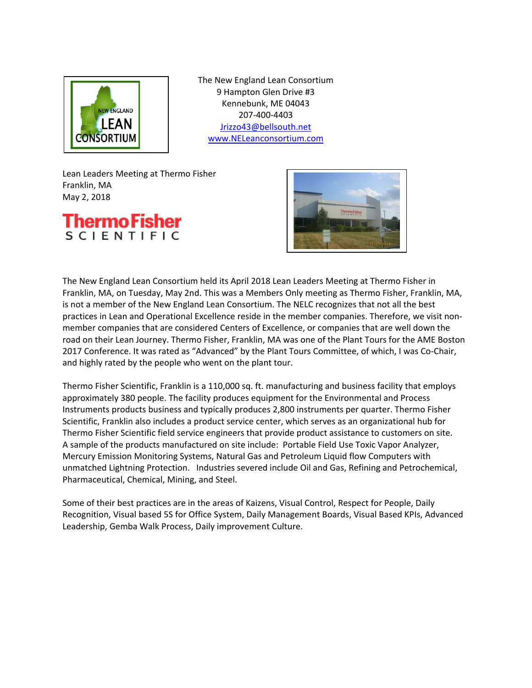

The New England Lean Consortium 9 Hampton Glen Drive #3 Kennebunk, ME 04043 207-400-4403 [Jrizzo43@bellsouth.net](mailto:Jrizzo43@bellsouth.net) [www.NELeanconsortium.com](http://www.neleanconsortium.com/)

Lean Leaders Meeting at Thermo Fisher Franklin, MA May 2, 2018





The New England Lean Consortium held its April 2018 Lean Leaders Meeting at Thermo Fisher in Franklin, MA, on Tuesday, May 2nd. This was a Members Only meeting as Thermo Fisher, Franklin, MA, is not a member of the New England Lean Consortium. The NELC recognizes that not all the best practices in Lean and Operational Excellence reside in the member companies. Therefore, we visit nonmember companies that are considered Centers of Excellence, or companies that are well down the road on their Lean Journey. Thermo Fisher, Franklin, MA was one of the Plant Tours for the AME Boston 2017 Conference. It was rated as "Advanced" by the Plant Tours Committee, of which, I was Co-Chair, and highly rated by the people who went on the plant tour.

Thermo Fisher Scientific, Franklin is a 110,000 sq. ft. manufacturing and business facility that employs approximately 380 people. The facility produces equipment for the Environmental and Process Instruments products business and typically produces 2,800 instruments per quarter. Thermo Fisher Scientific, Franklin also includes a product service center, which serves as an organizational hub for Thermo Fisher Scientific field service engineers that provide product assistance to customers on site. A sample of the products manufactured on site include: Portable Field Use Toxic Vapor Analyzer, Mercury Emission Monitoring Systems, Natural Gas and Petroleum Liquid flow Computers with unmatched Lightning Protection. Industries severed include Oil and Gas, Refining and Petrochemical, Pharmaceutical, Chemical, Mining, and Steel.

Some of their best practices are in the areas of Kaizens, Visual Control, Respect for People, Daily Recognition, Visual based 5S for Office System, Daily Management Boards, Visual Based KPIs, Advanced Leadership, Gemba Walk Process, Daily improvement Culture.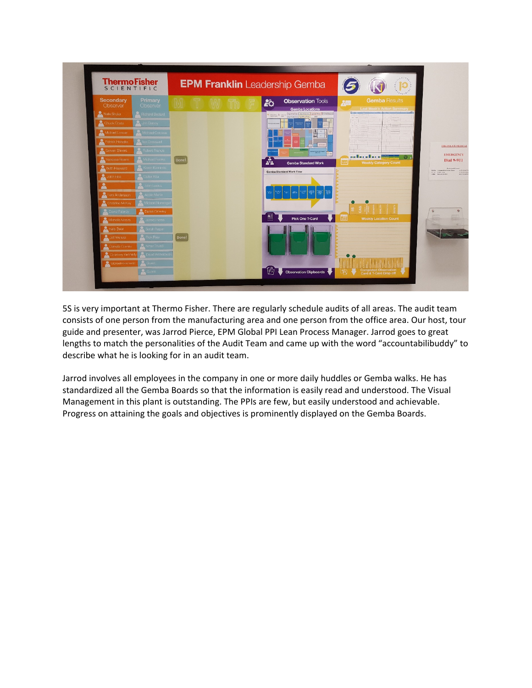

5S is very important at Thermo Fisher. There are regularly schedule audits of all areas. The audit team consists of one person from the manufacturing area and one person from the office area. Our host, tour guide and presenter, was Jarrod Pierce, EPM Global PPI Lean Process Manager. Jarrod goes to great lengths to match the personalities of the Audit Team and came up with the word "accountabilibuddy" to describe what he is looking for in an audit team.

Jarrod involves all employees in the company in one or more daily huddles or Gemba walks. He has standardized all the Gemba Boards so that the information is easily read and understood. The Visual Management in this plant is outstanding. The PPIs are few, but easily understood and achievable. Progress on attaining the goals and objectives is prominently displayed on the Gemba Boards.